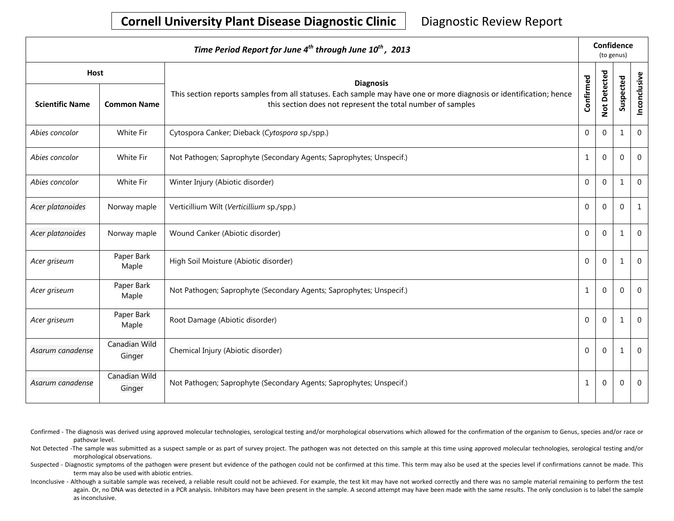| Time Period Report for June 4 <sup>th</sup> through June 10 <sup>th</sup> , 2013 |                         |                                                                                                                                                                                    |                | Confidence<br>(to genus) |              |              |  |
|----------------------------------------------------------------------------------|-------------------------|------------------------------------------------------------------------------------------------------------------------------------------------------------------------------------|----------------|--------------------------|--------------|--------------|--|
| <b>Host</b>                                                                      |                         | <b>Diagnosis</b>                                                                                                                                                                   |                |                          |              |              |  |
| <b>Scientific Name</b>                                                           | <b>Common Name</b>      | This section reports samples from all statuses. Each sample may have one or more diagnosis or identification; hence<br>this section does not represent the total number of samples | Confirmed      | Not Detected             | Suspected    | Inconclusive |  |
| Abies concolor                                                                   | White Fir               | Cytospora Canker; Dieback (Cytospora sp./spp.)                                                                                                                                     | $\Omega$       | $\Omega$                 | 1            | $\mathbf{0}$ |  |
| Abies concolor                                                                   | White Fir               | Not Pathogen; Saprophyte (Secondary Agents; Saprophytes; Unspecif.)                                                                                                                | $\mathbf{1}$   | $\mathbf 0$              | 0            | $\mathbf 0$  |  |
| Abies concolor                                                                   | White Fir               | Winter Injury (Abiotic disorder)                                                                                                                                                   | $\Omega$       | $\Omega$                 | $\mathbf{1}$ | $\mathbf{0}$ |  |
| Acer platanoides                                                                 | Norway maple            | Verticillium Wilt (Verticillium sp./spp.)                                                                                                                                          | $\mathbf{0}$   | $\Omega$                 | $\mathbf 0$  | 1            |  |
| Acer platanoides                                                                 | Norway maple            | Wound Canker (Abiotic disorder)                                                                                                                                                    | $\overline{0}$ | $\Omega$                 | 1            | $\mathbf 0$  |  |
| Acer griseum                                                                     | Paper Bark<br>Maple     | High Soil Moisture (Abiotic disorder)                                                                                                                                              | $\overline{0}$ | $\Omega$                 | 1            | 0            |  |
| Acer griseum                                                                     | Paper Bark<br>Maple     | Not Pathogen; Saprophyte (Secondary Agents; Saprophytes; Unspecif.)                                                                                                                | $\mathbf{1}$   | $\Omega$                 | $\Omega$     | $\Omega$     |  |
| Acer griseum                                                                     | Paper Bark<br>Maple     | Root Damage (Abiotic disorder)                                                                                                                                                     | $\Omega$       | $\Omega$                 | 1            | $\Omega$     |  |
| Asarum canadense                                                                 | Canadian Wild<br>Ginger | Chemical Injury (Abiotic disorder)                                                                                                                                                 | $\Omega$       | $\Omega$                 | 1            | $\Omega$     |  |
| Asarum canadense                                                                 | Canadian Wild<br>Ginger | Not Pathogen; Saprophyte (Secondary Agents; Saprophytes; Unspecif.)                                                                                                                | $\mathbf{1}$   | 0                        | 0            | 0            |  |

- Confirmed The diagnosis was derived using approved molecular technologies, serological testing and/or morphological observations which allowed for the confirmation of the organism to Genus, species and/or race or pathovar level.
- Not Detected -The sample was submitted as a suspect sample or as part of survey project. The pathogen was not detected on this sample at this time using approved molecular technologies, serological testing and/or morphological observations.
- Suspected Diagnostic symptoms of the pathogen were present but evidence of the pathogen could not be confirmed at this time. This term may also be used at the species level if confirmations cannot be made. This term may also be used with abiotic entries.
- Inconclusive Although a suitable sample was received, a reliable result could not be achieved. For example, the test kit may have not worked correctly and there was no sample material remaining to perform the test again. Or, no DNA was detected in a PCR analysis. Inhibitors may have been present in the sample. A second attempt may have been made with the same results. The only conclusion is to label the sample as inconclusive.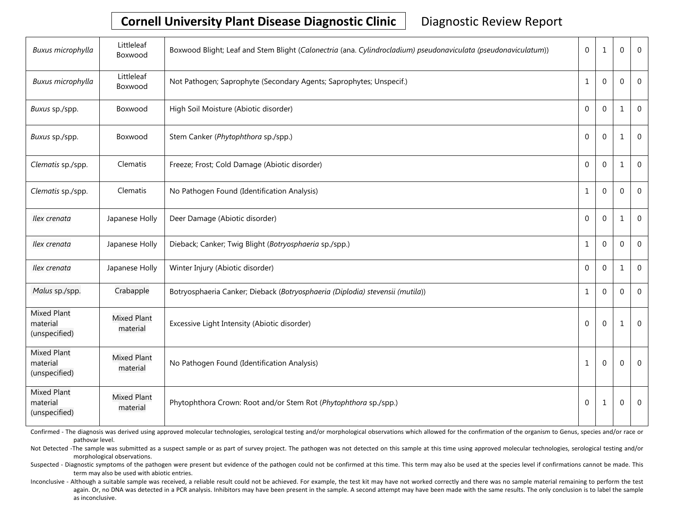| Buxus microphylla                               | Littleleaf<br>Boxwood          | Boxwood Blight; Leaf and Stem Blight (Calonectria (ana. Cylindrocladium) pseudonaviculata (pseudonaviculatum)) | $\boldsymbol{0}$ | $\mathbf{1}$ | 0            | $\mathbf 0$    |
|-------------------------------------------------|--------------------------------|----------------------------------------------------------------------------------------------------------------|------------------|--------------|--------------|----------------|
| Buxus microphylla                               | Littleleaf<br>Boxwood          | Not Pathogen; Saprophyte (Secondary Agents; Saprophytes; Unspecif.)                                            | $\mathbf 1$      | $\mathbf{0}$ | 0            | $\mathbf 0$    |
| Buxus sp./spp.                                  | Boxwood                        | High Soil Moisture (Abiotic disorder)                                                                          | $\mathbf 0$      | $\mathbf 0$  | $\mathbf{1}$ | $\mathbf{0}$   |
| Buxus sp./spp.                                  | Boxwood                        | Stem Canker (Phytophthora sp./spp.)                                                                            | $\mathbf 0$      | $\mathbf{0}$ | 1            | $\mathbf 0$    |
| Clematis sp./spp.                               | Clematis                       | Freeze; Frost; Cold Damage (Abiotic disorder)                                                                  | $\mathbf{0}$     | $\Omega$     | 1            | $\Omega$       |
| Clematis sp./spp.                               | Clematis                       | No Pathogen Found (Identification Analysis)                                                                    | 1                | $\Omega$     | 0            | $\mathbf 0$    |
| Ilex crenata                                    | Japanese Holly                 | Deer Damage (Abiotic disorder)                                                                                 | $\mathbf 0$      | $\mathbf{0}$ | 1            | $\mathbf{0}$   |
| Ilex crenata                                    | Japanese Holly                 | Dieback; Canker; Twig Blight (Botryosphaeria sp./spp.)                                                         | $\mathbf{1}$     | $\mathbf{0}$ | 0            | $\mathbf 0$    |
| Ilex crenata                                    | Japanese Holly                 | Winter Injury (Abiotic disorder)                                                                               | $\Omega$         | $\Omega$     | 1            | $\mathbf 0$    |
| Malus sp./spp.                                  | Crabapple                      | Botryosphaeria Canker; Dieback (Botryosphaeria (Diplodia) stevensii (mutila))                                  | $\mathbf{1}$     | $\mathbf 0$  | 0            | $\overline{0}$ |
| <b>Mixed Plant</b><br>material<br>(unspecified) | <b>Mixed Plant</b><br>material | Excessive Light Intensity (Abiotic disorder)                                                                   | $\mathbf 0$      | $\mathbf{0}$ | 1            | 0              |
| <b>Mixed Plant</b><br>material<br>(unspecified) | <b>Mixed Plant</b><br>material | No Pathogen Found (Identification Analysis)                                                                    | $\mathbf{1}$     | $\mathbf{0}$ | $\mathbf{0}$ | $\mathbf{0}$   |
| <b>Mixed Plant</b><br>material<br>(unspecified) | <b>Mixed Plant</b><br>material | Phytophthora Crown: Root and/or Stem Rot (Phytophthora sp./spp.)                                               | $\Omega$         | 1            | $\mathbf{0}$ | $\Omega$       |

Confirmed - The diagnosis was derived using approved molecular technologies, serological testing and/or morphological observations which allowed for the confirmation of the organism to Genus, species and/or race or pathovar level.

Not Detected -The sample was submitted as a suspect sample or as part of survey project. The pathogen was not detected on this sample at this time using approved molecular technologies, serological testing and/or morphological observations.

Suspected - Diagnostic symptoms of the pathogen were present but evidence of the pathogen could not be confirmed at this time. This term may also be used at the species level if confirmations cannot be made. This term may also be used with abiotic entries.

Inconclusive - Although a suitable sample was received, a reliable result could not be achieved. For example, the test kit may have not worked correctly and there was no sample material remaining to perform the test again. Or, no DNA was detected in a PCR analysis. Inhibitors may have been present in the sample. A second attempt may have been made with the same results. The only conclusion is to label the sample as inconclusive.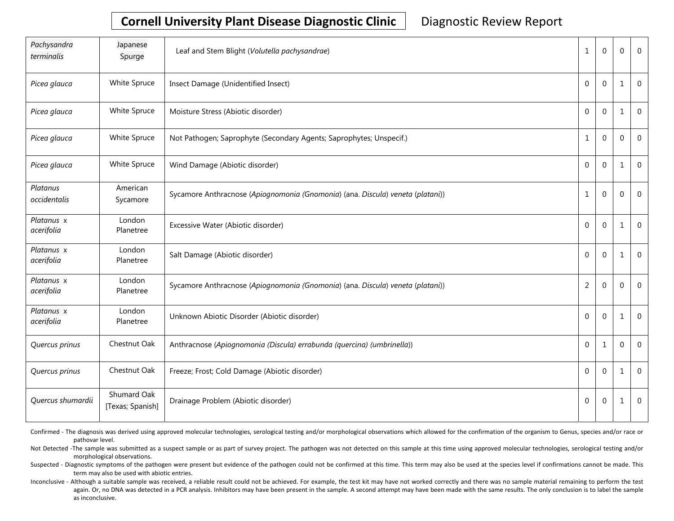| Pachysandra<br>terminalis | Japanese<br>Spurge                     | Leaf and Stem Blight (Volutella pachysandrae)                                  | $\mathbf{1}$   | $\Omega$       | $\Omega$     | $\Omega$    |
|---------------------------|----------------------------------------|--------------------------------------------------------------------------------|----------------|----------------|--------------|-------------|
| Picea glauca              | White Spruce                           | Insect Damage (Unidentified Insect)                                            | $\mathbf 0$    | $\mathbf{0}$   | 1            | $\mathbf 0$ |
| Picea glauca              | White Spruce                           | Moisture Stress (Abiotic disorder)                                             | $\mathbf 0$    | $\mathbf{0}$   | 1            | $\mathbf 0$ |
| Picea glauca              | White Spruce                           | Not Pathogen; Saprophyte (Secondary Agents; Saprophytes; Unspecif.)            | $\mathbf{1}$   | $\Omega$       | $\mathbf 0$  | $\mathbf 0$ |
| Picea glauca              | White Spruce                           | Wind Damage (Abiotic disorder)                                                 | $\mathbf 0$    | $\Omega$       | 1            | $\Omega$    |
| Platanus<br>occidentalis  | American<br>Sycamore                   | Sycamore Anthracnose (Apiognomonia (Gnomonia) (ana. Discula) veneta (platani)) | $\mathbf 1$    | $\mathbf{0}$   | $\mathbf{0}$ | $\mathbf 0$ |
| Platanus x<br>acerifolia  | London<br>Planetree                    | Excessive Water (Abiotic disorder)                                             | $\mathbf 0$    | $\mathbf{0}$   | $\mathbf{1}$ | $\mathbf 0$ |
| Platanus x<br>acerifolia  | London<br>Planetree                    | Salt Damage (Abiotic disorder)                                                 | $\mathbf{0}$   | $\Omega$       | 1            | $\Omega$    |
| Platanus x<br>acerifolia  | London<br>Planetree                    | Sycamore Anthracnose (Apiognomonia (Gnomonia) (ana. Discula) veneta (platani)) | $\overline{2}$ | $\mathbf{0}$   | $\Omega$     | $\mathbf 0$ |
| Platanus x<br>acerifolia  | London<br>Planetree                    | Unknown Abiotic Disorder (Abiotic disorder)                                    | $\mathbf{0}$   | $\mathbf{0}$   | 1            | $\mathbf 0$ |
| Quercus prinus            | Chestnut Oak                           | Anthracnose (Apiognomonia (Discula) errabunda (quercina) (umbrinella))         | $\mathbf{0}$   | $\mathbf{1}$   | 0            | $\mathbf 0$ |
| Quercus prinus            | Chestnut Oak                           | Freeze; Frost; Cold Damage (Abiotic disorder)                                  | $\mathbf{0}$   | $\Omega$       | 1            | $\mathbf 0$ |
| Quercus shumardii         | <b>Shumard Oak</b><br>[Texas; Spanish] | Drainage Problem (Abiotic disorder)                                            | 0              | $\overline{0}$ | $\mathbf{1}$ | $\mathbf 0$ |

Confirmed - The diagnosis was derived using approved molecular technologies, serological testing and/or morphological observations which allowed for the confirmation of the organism to Genus, species and/or race or pathovar level.

Not Detected -The sample was submitted as a suspect sample or as part of survey project. The pathogen was not detected on this sample at this time using approved molecular technologies, serological testing and/or morphological observations.

Suspected - Diagnostic symptoms of the pathogen were present but evidence of the pathogen could not be confirmed at this time. This term may also be used at the species level if confirmations cannot be made. This term may also be used with abiotic entries.

Inconclusive - Although a suitable sample was received, a reliable result could not be achieved. For example, the test kit may have not worked correctly and there was no sample material remaining to perform the test again. Or, no DNA was detected in a PCR analysis. Inhibitors may have been present in the sample. A second attempt may have been made with the same results. The only conclusion is to label the sample as inconclusive.